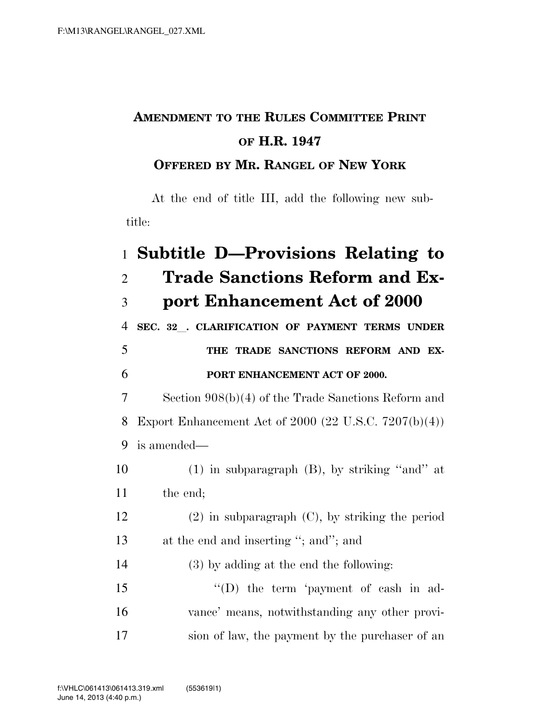## **AMENDMENT TO THE RULES COMMITTEE PRINT OF H.R. 1947**

## **OFFERED BY MR. RANGEL OF NEW YORK**

At the end of title III, add the following new subtitle:

## 1 **Subtitle D—Provisions Relating to**  2 **Trade Sanctions Reform and Ex-**3 **port Enhancement Act of 2000**  <sup>4</sup> **SEC. 32**l**. CLARIFICATION OF PAYMENT TERMS UNDER**  5 **THE TRADE SANCTIONS REFORM AND EX-**6 **PORT ENHANCEMENT ACT OF 2000.**  7 Section 908(b)(4) of the Trade Sanctions Reform and 8 Export Enhancement Act of 2000 (22 U.S.C. 7207(b)(4)) 9 is amended— 10 (1) in subparagraph (B), by striking ''and'' at 11 the end; 12 (2) in subparagraph (C), by striking the period 13 at the end and inserting "; and"; and 14 (3) by adding at the end the following: 15 "(D) the term 'payment of cash in ad-16 vance' means, notwithstanding any other provi-17 sion of law, the payment by the purchaser of an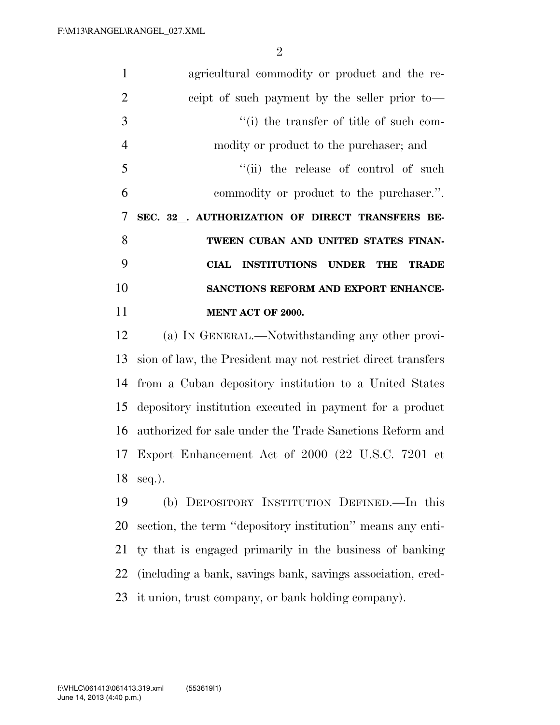agricultural commodity or product and the re- ceipt of such payment by the seller prior to— ''(i) the transfer of title of such com- modity or product to the purchaser; and 5 ''(ii) the release of control of such commodity or product to the purchaser.''. **SEC. 32**l**. AUTHORIZATION OF DIRECT TRANSFERS BE- TWEEN CUBAN AND UNITED STATES FINAN- CIAL INSTITUTIONS UNDER THE TRADE SANCTIONS REFORM AND EXPORT ENHANCE- MENT ACT OF 2000.**  (a) IN GENERAL.—Notwithstanding any other provi-

 sion of law, the President may not restrict direct transfers from a Cuban depository institution to a United States depository institution executed in payment for a product authorized for sale under the Trade Sanctions Reform and Export Enhancement Act of 2000 (22 U.S.C. 7201 et seq.).

 (b) DEPOSITORY INSTITUTION DEFINED.—In this section, the term ''depository institution'' means any enti- ty that is engaged primarily in the business of banking (including a bank, savings bank, savings association, cred-it union, trust company, or bank holding company).